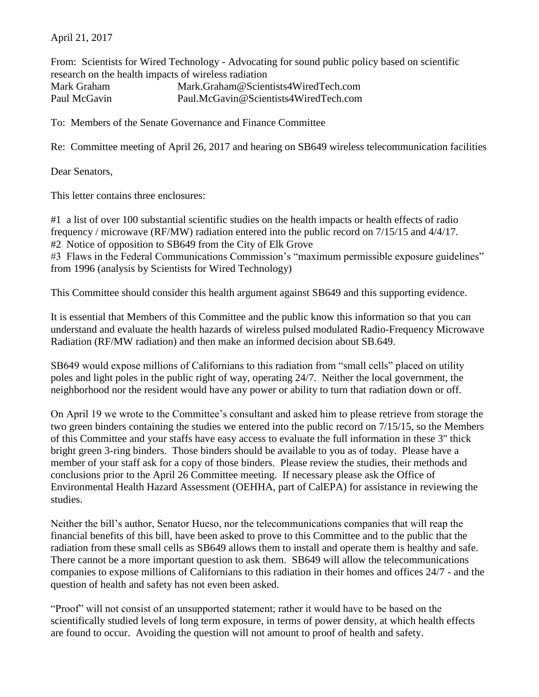April 21, 2017

From: Scientists for Wired Technology - Advocating for sound public policy based on scientific research on the health impacts of wireless radiation Mark Graham Mark.Graham@Scientists4WiredTech.com Paul McGavin Paul.McGavin@Scientists4WiredTech.com

To: Members of the Senate Governance and Finance Committee

Re: Committee meeting of April 26, 2017 and hearing on SB649 wireless telecommunication facilities

Dear Senators,

This letter contains three enclosures:

#1 a list of over 100 substantial scientific studies on the health impacts or health effects of radio frequency / microwave (RF/MW) radiation entered into the public record on 7/15/15 and 4/4/17. #2 Notice of opposition to SB649 from the City of Elk Grove

#3 Flaws in the Federal Communications Commission's "maximum permissible exposure guidelines" from 1996 (analysis by Scientists for Wired Technology)

This Committee should consider this health argument against SB649 and this supporting evidence.

It is essential that Members of this Committee and the public know this information so that you can understand and evaluate the health hazards of wireless pulsed modulated Radio-Frequency Microwave Radiation (RF/MW radiation) and then make an informed decision about SB.649.

SB649 would expose millions of Californians to this radiation from "small cells" placed on utility poles and light poles in the public right of way, operating 24/7. Neither the local government, the neighborhood nor the resident would have any power or ability to turn that radiation down or off.

On April 19 we wrote to the Committee's consultant and asked him to please retrieve from storage the two green binders containing the studies we entered into the public record on 7/15/15, so the Members of this Committee and your staffs have easy access to evaluate the full information in these 3" thick bright green 3-ring binders. Those binders should be available to you as of today. Please have a member of your staff ask for a copy of those binders. Please review the studies, their methods and conclusions prior to the April 26 Committee meeting. If necessary please ask the Office of Environmental Health Hazard Assessment (OEHHA, part of CalEPA) for assistance in reviewing the studies.

Neither the bill's author, Senator Hueso, nor the telecommunications companies that will reap the financial benefits of this bill, have been asked to prove to this Committee and to the public that the radiation from these small cells as SB649 allows them to install and operate them is healthy and safe. There cannot be a more important question to ask them. SB649 will allow the telecommunications companies to expose millions of Californians to this radiation in their homes and offices 24/7 - and the question of health and safety has not even been asked.

"Proof" will not consist of an unsupported statement; rather it would have to be based on the scientifically studied levels of long term exposure, in terms of power density, at which health effects are found to occur. Avoiding the question will not amount to proof of health and safety.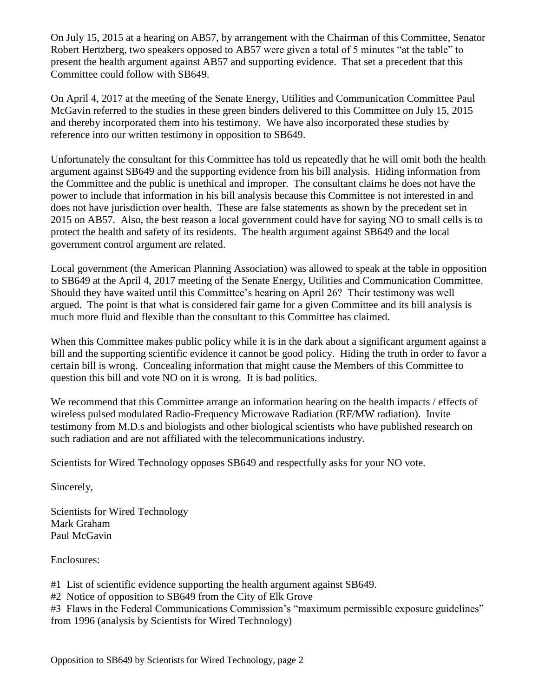On July 15, 2015 at a hearing on AB57, by arrangement with the Chairman of this Committee, Senator Robert Hertzberg, two speakers opposed to AB57 were given a total of 5 minutes "at the table" to present the health argument against AB57 and supporting evidence. That set a precedent that this Committee could follow with SB649.

On April 4, 2017 at the meeting of the Senate Energy, Utilities and Communication Committee Paul McGavin referred to the studies in these green binders delivered to this Committee on July 15, 2015 and thereby incorporated them into his testimony. We have also incorporated these studies by reference into our written testimony in opposition to SB649.

Unfortunately the consultant for this Committee has told us repeatedly that he will omit both the health argument against SB649 and the supporting evidence from his bill analysis. Hiding information from the Committee and the public is unethical and improper. The consultant claims he does not have the power to include that information in his bill analysis because this Committee is not interested in and does not have jurisdiction over health. These are false statements as shown by the precedent set in 2015 on AB57. Also, the best reason a local government could have for saying NO to small cells is to protect the health and safety of its residents. The health argument against SB649 and the local government control argument are related.

Local government (the American Planning Association) was allowed to speak at the table in opposition to SB649 at the April 4, 2017 meeting of the Senate Energy, Utilities and Communication Committee. Should they have waited until this Committee's hearing on April 26? Their testimony was well argued. The point is that what is considered fair game for a given Committee and its bill analysis is much more fluid and flexible than the consultant to this Committee has claimed.

When this Committee makes public policy while it is in the dark about a significant argument against a bill and the supporting scientific evidence it cannot be good policy. Hiding the truth in order to favor a certain bill is wrong. Concealing information that might cause the Members of this Committee to question this bill and vote NO on it is wrong. It is bad politics.

We recommend that this Committee arrange an information hearing on the health impacts / effects of wireless pulsed modulated Radio-Frequency Microwave Radiation (RF/MW radiation). Invite testimony from M.D.s and biologists and other biological scientists who have published research on such radiation and are not affiliated with the telecommunications industry.

Scientists for Wired Technology opposes SB649 and respectfully asks for your NO vote.

Sincerely,

Scientists for Wired Technology Mark Graham Paul McGavin

Enclosures:

#1 List of scientific evidence supporting the health argument against SB649.

#2 Notice of opposition to SB649 from the City of Elk Grove

#3 Flaws in the Federal Communications Commission's "maximum permissible exposure guidelines" from 1996 (analysis by Scientists for Wired Technology)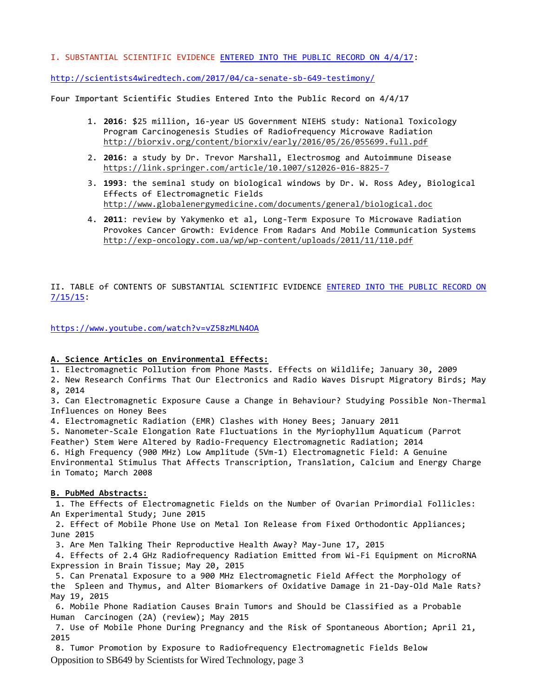## I. SUBSTANTIAL SCIENTIFIC EVIDENCE [ENTERED INTO THE PUBLIC RECORD ON 4/4/17:](http://scientists4wiredtech.com/2017/04/ca-senate-sb-649-testimony/)

<http://scientists4wiredtech.com/2017/04/ca-senate-sb-649-testimony/>

**Four Important Scientific Studies Entered Into the Public Record on 4/4/17**

- 1. **2016**: \$25 million, 16-year US Government NIEHS study: National Toxicology Program Carcinogenesis Studies of Radiofrequency Microwave Radiation <http://biorxiv.org/content/biorxiv/early/2016/05/26/055699.full.pdf>
- 2. **2016**: a study by Dr. Trevor Marshall, Electrosmog and Autoimmune Disease <https://link.springer.com/article/10.1007/s12026-016-8825-7>
- 3. **1993**: the seminal study on biological windows by Dr. W. Ross Adey, Biological Effects of Electromagnetic Fields <http://www.globalenergymedicine.com/documents/general/biological.doc>
- 4. **2011**: review by Yakymenko et al, Long-Term Exposure To Microwave Radiation Provokes Cancer Growth: Evidence From Radars And Mobile Communication Systems <http://exp-oncology.com.ua/wp/wp-content/uploads/2011/11/110.pdf>

II. TABLE of CONTENTS OF SUBSTANTIAL SCIENTIFIC EVIDENCE [ENTERED INTO THE PUBLIC RECORD ON](https://www.youtube.com/watch?v=vZ58zMLN4OA)  [7/15/15:](https://www.youtube.com/watch?v=vZ58zMLN4OA)

<https://www.youtube.com/watch?v=vZ58zMLN4OA>

## **A. Science Articles on Environmental Effects:**

1. Electromagnetic Pollution from Phone Masts. Effects on Wildlife; January 30, 2009

2. New Research Confirms That Our Electronics and Radio Waves Disrupt Migratory Birds; May 8, 2014

3. Can Electromagnetic Exposure Cause a Change in Behaviour? Studying Possible Non-Thermal Influences on Honey Bees

4. Electromagnetic Radiation (EMR) Clashes with Honey Bees; January 2011

5. Nanometer-Scale Elongation Rate Fluctuations in the Myriophyllum Aquaticum (Parrot Feather) Stem Were Altered by Radio-Frequency Electromagnetic Radiation; 2014 6. High Frequency (900 MHz) Low Amplitude (5Vm-1) Electromagnetic Field: A Genuine

Environmental Stimulus That Affects Transcription, Translation, Calcium and Energy Charge in Tomato; March 2008

## **B. PubMed Abstracts:**

1. The Effects of Electromagnetic Fields on the Number of Ovarian Primordial Follicles: An Experimental Study; June 2015

2. Effect of Mobile Phone Use on Metal Ion Release from Fixed Orthodontic Appliances; June 2015

3. Are Men Talking Their Reproductive Health Away? May-June 17, 2015

4. Effects of 2.4 GHz Radiofrequency Radiation Emitted from Wi-Fi Equipment on MicroRNA Expression in Brain Tissue; May 20, 2015

5. Can Prenatal Exposure to a 900 MHz Electromagnetic Field Affect the Morphology of the Spleen and Thymus, and Alter Biomarkers of Oxidative Damage in 21-Day-Old Male Rats? May 19, 2015

6. Mobile Phone Radiation Causes Brain Tumors and Should be Classified as a Probable Human Carcinogen (2A) (review); May 2015

7. Use of Mobile Phone During Pregnancy and the Risk of Spontaneous Abortion; April 21, 2015

Opposition to SB649 by Scientists for Wired Technology, page 3 8. Tumor Promotion by Exposure to Radiofrequency Electromagnetic Fields Below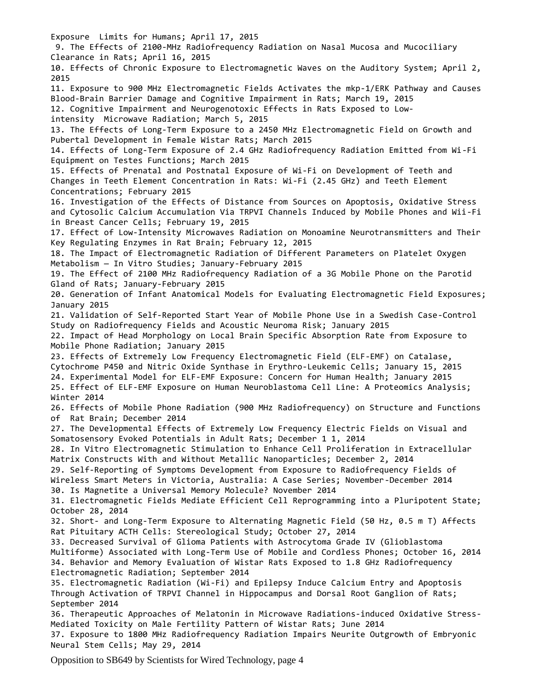Exposure Limits for Humans; April 17, 2015 9. The Effects of 2100-MHz Radiofrequency Radiation on Nasal Mucosa and Mucociliary Clearance in Rats; April 16, 2015 10. Effects of Chronic Exposure to Electromagnetic Waves on the Auditory System; April 2, 2015 11. Exposure to 900 MHz Electromagnetic Fields Activates the mkp-1/ERK Pathway and Causes Blood-Brain Barrier Damage and Cognitive Impairment in Rats; March 19, 2015 12. Cognitive Impairment and Neurogenotoxic Effects in Rats Exposed to Lowintensity Microwave Radiation; March 5, 2015 13. The Effects of Long-Term Exposure to a 2450 MHz Electromagnetic Field on Growth and Pubertal Development in Female Wistar Rats; March 2015 14. Effects of Long-Term Exposure of 2.4 GHz Radiofrequency Radiation Emitted from Wi-Fi Equipment on Testes Functions; March 2015 15. Effects of Prenatal and Postnatal Exposure of Wi-Fi on Development of Teeth and Changes in Teeth Element Concentration in Rats: Wi-Fi (2.45 GHz) and Teeth Element Concentrations; February 2015 16. Investigation of the Effects of Distance from Sources on Apoptosis, Oxidative Stress and Cytosolic Calcium Accumulation Via TRPVI Channels Induced by Mobile Phones and Wii-Fi in Breast Cancer Cells; February 19, 2015 17. Effect of Low-Intensity Microwaves Radiation on Monoamine Neurotransmitters and Their Key Regulating Enzymes in Rat Brain; February 12, 2015 18. The Impact of Electromagnetic Radiation of Different Parameters on Platelet Oxygen Metabolism — In Vitro Studies; January-February 2015 19. The Effect of 2100 MHz Radiofrequency Radiation of a 3G Mobile Phone on the Parotid Gland of Rats; January-February 2015 20. Generation of Infant Anatomical Models for Evaluating Electromagnetic Field Exposures; January 2015 21. Validation of Self-Reported Start Year of Mobile Phone Use in a Swedish Case-Control Study on Radiofrequency Fields and Acoustic Neuroma Risk; January 2015 22. Impact of Head Morphology on Local Brain Specific Absorption Rate from Exposure to Mobile Phone Radiation; January 2015 23. Effects of Extremely Low Frequency Electromagnetic Field (ELF-EMF) on Catalase, Cytochrome P450 and Nitric Oxide Synthase in Erythro-Leukemic Cells; January 15, 2015 24. Experimental Model for ELF-EMF Exposure: Concern for Human Health; January 2015 25. Effect of ELF-EMF Exposure on Human Neuroblastoma Cell Line: A Proteomics Analysis; Winter 2014 26. Effects of Mobile Phone Radiation (900 MHz Radiofrequency) on Structure and Functions of Rat Brain; December 2014 27. The Developmental Effects of Extremely Low Frequency Electric Fields on Visual and Somatosensory Evoked Potentials in Adult Rats; December 1 1, 2014 28. In Vitro Electromagnetic Stimulation to Enhance Cell Proliferation in Extracellular Matrix Constructs With and Without Metallic Nanoparticles; December 2, 2014 29. Self-Reporting of Symptoms Development from Exposure to Radiofrequency Fields of Wireless Smart Meters in Victoria, Australia: A Case Series; November-December 2014 30. Is Magnetite a Universal Memory Molecule? November 2014 31. Electromagnetic Fields Mediate Efficient Cell Reprogramming into a Pluripotent State; October 28, 2014 32. Short- and Long-Term Exposure to Alternating Magnetic Field (50 Hz, 0.5 m T) Affects Rat Pituitary ACTH Cells: Stereological Study; October 27, 2014 33. Decreased Survival of Glioma Patients with Astrocytoma Grade IV (Glioblastoma Multiforme) Associated with Long-Term Use of Mobile and Cordless Phones; October 16, 2014 34. Behavior and Memory Evaluation of Wistar Rats Exposed to 1.8 GHz Radiofrequency Electromagnetic Radiation; September 2014 35. Electromagnetic Radiation (Wi-Fi) and Epilepsy Induce Calcium Entry and Apoptosis Through Activation of TRPVI Channel in Hippocampus and Dorsal Root Ganglion of Rats; September 2014 36. Therapeutic Approaches of Melatonin in Microwave Radiations-induced Oxidative Stress-Mediated Toxicity on Male Fertility Pattern of Wistar Rats; June 2014 37. Exposure to 1800 MHz Radiofrequency Radiation Impairs Neurite Outgrowth of Embryonic Neural Stem Cells; May 29, 2014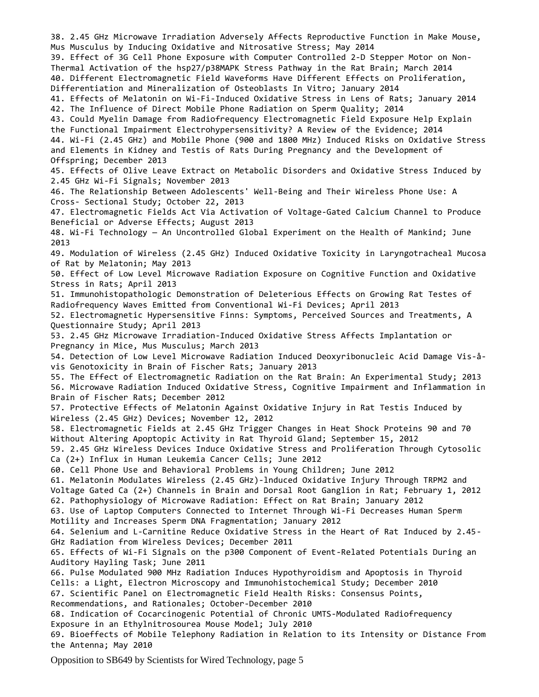38. 2.45 GHz Microwave Irradiation Adversely Affects Reproductive Function in Make Mouse, Mus Musculus by Inducing Oxidative and Nitrosative Stress; May 2014 39. Effect of 3G Cell Phone Exposure with Computer Controlled 2-D Stepper Motor on Non-Thermal Activation of the hsp27/p38MAPK Stress Pathway in the Rat Brain; March 2014 40. Different Electromagnetic Field Waveforms Have Different Effects on Proliferation, Differentiation and Mineralization of Osteoblasts In Vitro; January 2014 41. Effects of Melatonin on Wi-Fi-Induced Oxidative Stress in Lens of Rats; January 2014 42. The Influence of Direct Mobile Phone Radiation on Sperm Quality; 2014 43. Could Myelin Damage from Radiofrequency Electromagnetic Field Exposure Help Explain the Functional Impairment Electrohypersensitivity? A Review of the Evidence; 2014 44. Wi-Fi (2.45 GHz) and Mobile Phone (900 and 1800 MHz) Induced Risks on Oxidative Stress and Elements in Kidney and Testis of Rats During Pregnancy and the Development of Offspring; December 2013 45. Effects of Olive Leave Extract on Metabolic Disorders and Oxidative Stress Induced by 2.45 GHz Wi-Fi Signals; November 2013 46. The Relationship Between Adolescents' Well-Being and Their Wireless Phone Use: A Cross- Sectional Study; October 22, 2013 47. Electromagnetic Fields Act Via Activation of Voltage-Gated Calcium Channel to Produce Beneficial or Adverse Effects; August 2013 48. Wi-Fi Technology — An Uncontrolled Global Experiment on the Health of Mankind; June 2013 49. Modulation of Wireless (2.45 GHz) Induced Oxidative Toxicity in Laryngotracheal Mucosa of Rat by Melatonin; May 2013 50. Effect of Low Level Microwave Radiation Exposure on Cognitive Function and Oxidative Stress in Rats; April 2013 51. Immunohistopathologic Demonstration of Deleterious Effects on Growing Rat Testes of Radiofrequency Waves Emitted from Conventional Wi-Fi Devices; April 2013 52. Electromagnetic Hypersensitive Finns: Symptoms, Perceived Sources and Treatments, A Questionnaire Study; April 2013 53. 2.45 GHz Microwave Irradiation-Induced Oxidative Stress Affects Implantation or Pregnancy in Mice, Mus Musculus; March 2013 54. Detection of Low Level Microwave Radiation Induced Deoxyribonucleic Acid Damage Vis-åvis Genotoxicity in Brain of Fischer Rats; January 2013 55. The Effect of Electromagnetic Radiation on the Rat Brain: An Experimental Study; 2013 56. Microwave Radiation Induced Oxidative Stress, Cognitive Impairment and Inflammation in Brain of Fischer Rats; December 2012 57. Protective Effects of Melatonin Against Oxidative Injury in Rat Testis Induced by Wireless (2.45 GHz) Devices; November 12, 2012 58. Electromagnetic Fields at 2.45 GHz Trigger Changes in Heat Shock Proteins 90 and 70 Without Altering Apoptopic Activity in Rat Thyroid Gland; September 15, 2012 59. 2.45 GHz Wireless Devices Induce Oxidative Stress and Proliferation Through Cytosolic Ca (2+) Influx in Human Leukemia Cancer Cells; June 2012 60. Cell Phone Use and Behavioral Problems in Young Children; June 2012 61. Melatonin Modulates Wireless (2.45 GHz)-lnduced Oxidative Injury Through TRPM2 and Voltage Gated Ca (2+) Channels in Brain and Dorsal Root Ganglion in Rat; February 1, 2012 62. Pathophysiology of Microwave Radiation: Effect on Rat Brain; January 2012 63. Use of Laptop Computers Connected to Internet Through Wi-Fi Decreases Human Sperm Motility and Increases Sperm DNA Fragmentation; January 2012 64. Selenium and L-Carnitine Reduce Oxidative Stress in the Heart of Rat Induced by 2.45- GHz Radiation from Wireless Devices; December 2011 65. Effects of Wi-Fi Signals on the p300 Component of Event-Related Potentials During an Auditory Hayling Task; June 2011 66. Pulse Modulated 900 MHz Radiation Induces Hypothyroidism and Apoptosis in Thyroid Cells: a Light, Electron Microscopy and Immunohistochemical Study; December 2010 67. Scientific Panel on Electromagnetic Field Health Risks: Consensus Points, Recommendations, and Rationales; October-December 2010 68. Indication of Cocarcinogenic Potential of Chronic UMTS-Modulated Radiofrequency Exposure in an Ethylnitrosourea Mouse Model; July 2010 69. Bioeffects of Mobile Telephony Radiation in Relation to its Intensity or Distance From the Antenna; May 2010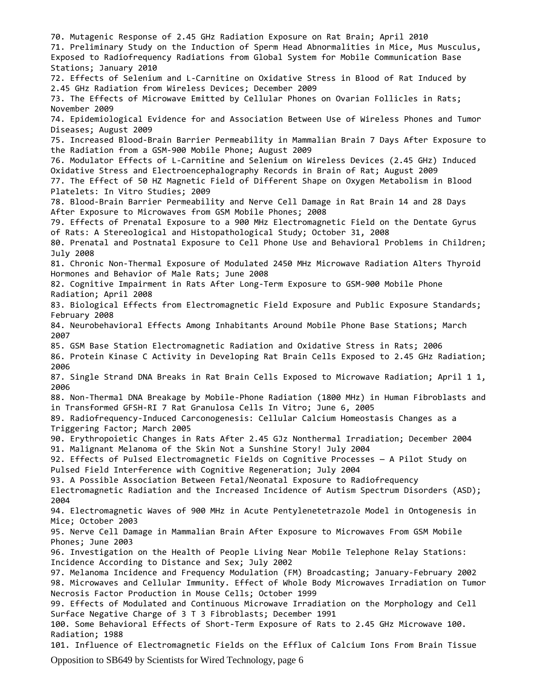70. Mutagenic Response of 2.45 GHz Radiation Exposure on Rat Brain; April 2010 71. Preliminary Study on the Induction of Sperm Head Abnormalities in Mice, Mus Musculus, Exposed to Radiofrequency Radiations from Global System for Mobile Communication Base Stations; January 2010 72. Effects of Selenium and L-Carnitine on Oxidative Stress in Blood of Rat Induced by 2.45 GHz Radiation from Wireless Devices; December 2009 73. The Effects of Microwave Emitted by Cellular Phones on Ovarian Follicles in Rats; November 2009 74. Epidemiological Evidence for and Association Between Use of Wireless Phones and Tumor Diseases; August 2009 75. Increased Blood-Brain Barrier Permeability in Mammalian Brain 7 Days After Exposure to the Radiation from a GSM-900 Mobile Phone; August 2009 76. Modulator Effects of L-Carnitine and Selenium on Wireless Devices (2.45 GHz) Induced Oxidative Stress and Electroencephalography Records in Brain of Rat; August 2009 77. The Effect of 50 HZ Magnetic Field of Different Shape on Oxygen Metabolism in Blood Platelets: In Vitro Studies; 2009 78. Blood-Brain Barrier Permeability and Nerve Cell Damage in Rat Brain 14 and 28 Days After Exposure to Microwaves from GSM Mobile Phones; 2008 79. Effects of Prenatal Exposure to a 900 MHz Electromagnetic Field on the Dentate Gyrus of Rats: A Stereological and Histopathological Study; October 31, 2008 80. Prenatal and Postnatal Exposure to Cell Phone Use and Behavioral Problems in Children; July 2008 81. Chronic Non-Thermal Exposure of Modulated 2450 MHz Microwave Radiation Alters Thyroid Hormones and Behavior of Male Rats; June 2008 82. Cognitive Impairment in Rats After Long-Term Exposure to GSM-900 Mobile Phone Radiation; April 2008 83. Biological Effects from Electromagnetic Field Exposure and Public Exposure Standards; February 2008 84. Neurobehavioral Effects Among Inhabitants Around Mobile Phone Base Stations; March 2007 85. GSM Base Station Electromagnetic Radiation and Oxidative Stress in Rats; 2006 86. Protein Kinase C Activity in Developing Rat Brain Cells Exposed to 2.45 GHz Radiation; 2006 87. Single Strand DNA Breaks in Rat Brain Cells Exposed to Microwave Radiation; April 1 1, 2006 88. Non-Thermal DNA Breakage by Mobile-Phone Radiation (1800 MHz) in Human Fibroblasts and in Transformed GFSH-RI 7 Rat Granulosa Cells In Vitro; June 6, 2005 89. Radiofrequency-Induced Carconogenesis: Cellular Calcium Homeostasis Changes as a Triggering Factor; March 2005 90. Erythropoietic Changes in Rats After 2.45 GJz Nonthermal Irradiation; December 2004 91. Malignant Melanoma of the Skin Not a Sunshine Story! July 2004 92. Effects of Pulsed Electromagnetic Fields on Cognitive Processes — A Pilot Study on Pulsed Field Interference with Cognitive Regeneration; July 2004 93. A Possible Association Between Fetal/Neonatal Exposure to Radiofrequency Electromagnetic Radiation and the Increased Incidence of Autism Spectrum Disorders (ASD); 2004 94. Electromagnetic Waves of 900 MHz in Acute Pentylenetetrazole Model in Ontogenesis in Mice; October 2003 95. Nerve Cell Damage in Mammalian Brain After Exposure to Microwaves From GSM Mobile Phones; June 2003 96. Investigation on the Health of People Living Near Mobile Telephone Relay Stations: Incidence According to Distance and Sex; July 2002 97. Melanoma Incidence and Frequency Modulation (FM) Broadcasting; January-February 2002 98. Microwaves and Cellular Immunity. Effect of Whole Body Microwaves Irradiation on Tumor Necrosis Factor Production in Mouse Cells; October 1999 99. Effects of Modulated and Continuous Microwave Irradiation on the Morphology and Cell Surface Negative Charge of 3 T 3 Fibroblasts; December 1991 100. Some Behavioral Effects of Short-Term Exposure of Rats to 2.45 GHz Microwave 100. Radiation; 1988 101. Influence of Electromagnetic Fields on the Efflux of Calcium Ions From Brain Tissue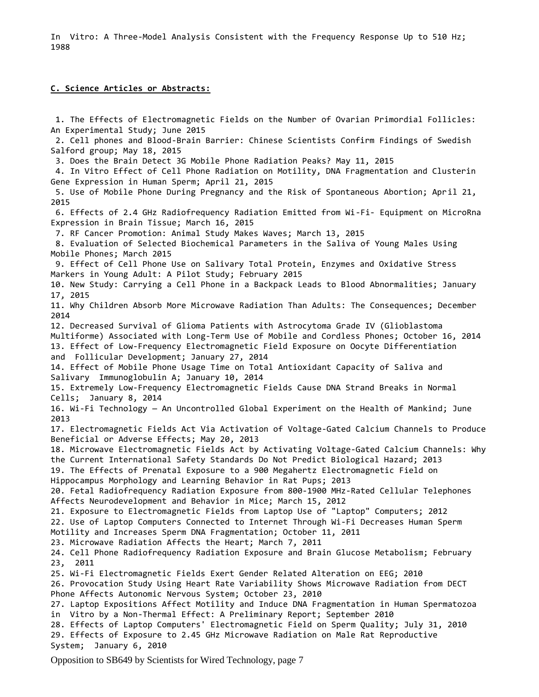In Vitro: A Three-Model Analysis Consistent with the Frequency Response Up to 510 Hz; 1988

## **C. Science Articles or Abstracts:**

1. The Effects of Electromagnetic Fields on the Number of Ovarian Primordial Follicles: An Experimental Study; June 2015 2. Cell phones and Blood-Brain Barrier: Chinese Scientists Confirm Findings of Swedish Salford group; May 18, 2015 3. Does the Brain Detect 3G Mobile Phone Radiation Peaks? May 11, 2015 4. In Vitro Effect of Cell Phone Radiation on Motility, DNA Fragmentation and Clusterin Gene Expression in Human Sperm; April 21, 2015 5. Use of Mobile Phone During Pregnancy and the Risk of Spontaneous Abortion; April 21, 2015 6. Effects of 2.4 GHz Radiofrequency Radiation Emitted from Wi-Fi- Equipment on MicroRna Expression in Brain Tissue; March 16, 2015 7. RF Cancer Promotion: Animal Study Makes Waves; March 13, 2015 8. Evaluation of Selected Biochemical Parameters in the Saliva of Young Males Using Mobile Phones; March 2015 9. Effect of Cell Phone Use on Salivary Total Protein, Enzymes and Oxidative Stress Markers in Young Adult: A Pilot Study; February 2015 10. New Study: Carrying a Cell Phone in a Backpack Leads to Blood Abnormalities; January 17, 2015 11. Why Children Absorb More Microwave Radiation Than Adults: The Consequences; December 2014 12. Decreased Survival of Glioma Patients with Astrocytoma Grade IV (Glioblastoma Multiforme) Associated with Long-Term Use of Mobile and Cordless Phones; October 16, 2014 13. Effect of Low-Frequency Electromagnetic Field Exposure on Oocyte Differentiation and Follicular Development; January 27, 2014 14. Effect of Mobile Phone Usage Time on Total Antioxidant Capacity of Saliva and Salivary Immunoglobulin A; January 10, 2014 15. Extremely Low-Frequency Electromagnetic Fields Cause DNA Strand Breaks in Normal Cells; January 8, 2014 16. Wi-Fi Technology — An Uncontrolled Global Experiment on the Health of Mankind; June 2013 17. Electromagnetic Fields Act Via Activation of Voltage-Gated Calcium Channels to Produce Beneficial or Adverse Effects; May 20, 2013 18. Microwave Electromagnetic Fields Act by Activating Voltage-Gated Calcium Channels: Why the Current International Safety Standards Do Not Predict Biological Hazard; 2013 19. The Effects of Prenatal Exposure to a 900 Megahertz Electromagnetic Field on Hippocampus Morphology and Learning Behavior in Rat Pups; 2013 20. Fetal Radiofrequency Radiation Exposure from 800-1900 MHz-Rated Cellular Telephones Affects Neurodevelopment and Behavior in Mice; March 15, 2012 21. Exposure to Electromagnetic Fields from Laptop Use of "Laptop" Computers; 2012 22. Use of Laptop Computers Connected to Internet Through Wi-Fi Decreases Human Sperm Motility and Increases Sperm DNA Fragmentation; October 11, 2011 23. Microwave Radiation Affects the Heart; March 7, 2011 24. Cell Phone Radiofrequency Radiation Exposure and Brain Glucose Metabolism; February 23, 2011 25. Wi-Fi Electromagnetic Fields Exert Gender Related Alteration on EEG; 2010 26. Provocation Study Using Heart Rate Variability Shows Microwave Radiation from DECT Phone Affects Autonomic Nervous System; October 23, 2010 27. Laptop Expositions Affect Motility and Induce DNA Fragmentation in Human Spermatozoa in Vitro by a Non-Thermal Effect: A Preliminary Report; September 2010 28. Effects of Laptop Computers' Electromagnetic Field on Sperm Quality; July 31, 2010 29. Effects of Exposure to 2.45 GHz Microwave Radiation on Male Rat Reproductive System; January 6, 2010